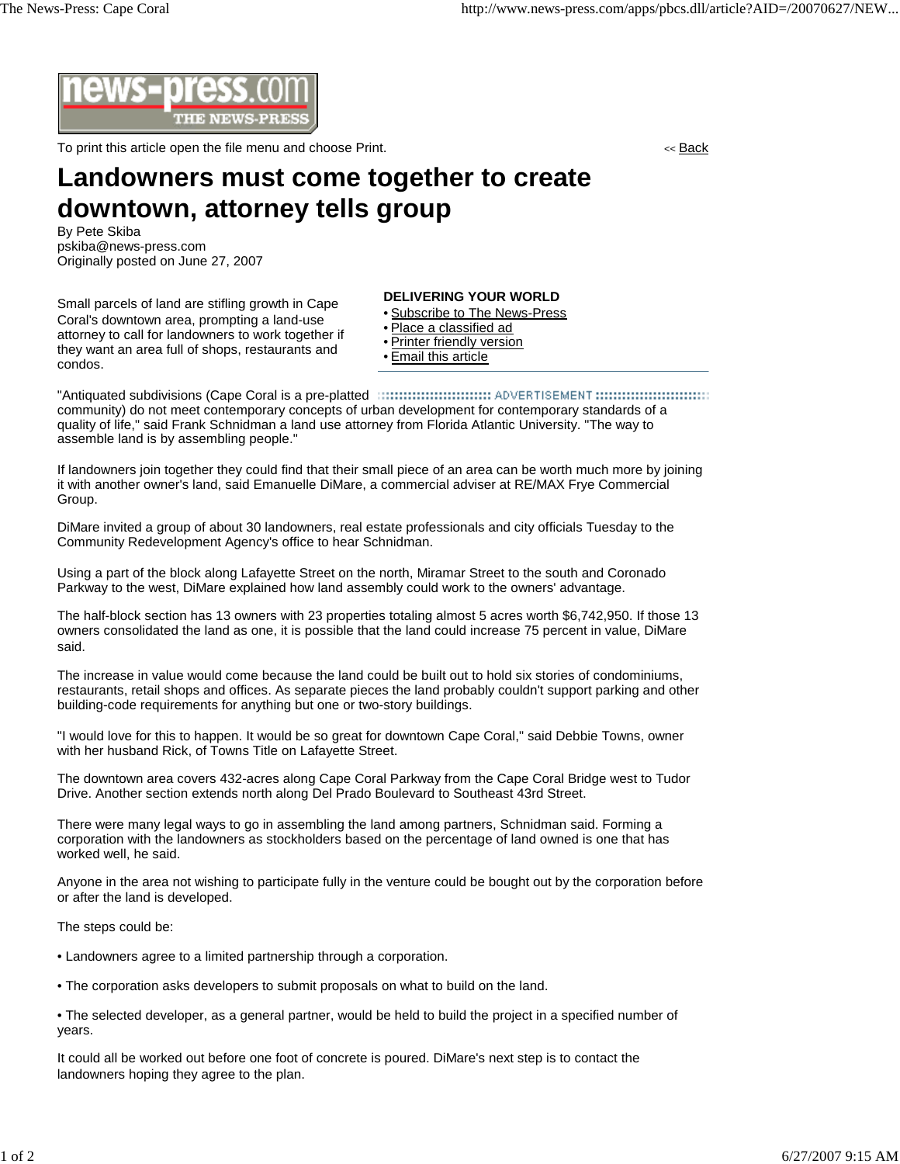

To print this article open the file menu and choose Print. The state of the state of the state of the state of the state of the state of the state of the state of the state of the state of the state of the state of the sta

## **Landowners must come together to create downtown, attorney tells group**

By Pete Skiba pskiba@news-press.com Originally posted on June 27, 2007

Small parcels of land are stifling growth in Cape Coral's downtown area, prompting a land-use attorney to call for landowners to work together if they want an area full of shops, restaurants and condos.

## **DELIVERING YOUR WORLD**

- Subscribe to The News-Press
- Place a classified ad
- Printer friendly version
- Email this article

"Antiquated subdivisions (Cape Coral is a pre-platted community) do not meet contemporary concepts of urban development for contemporary standards of a quality of life," said Frank Schnidman a land use attorney from Florida Atlantic University. "The way to assemble land is by assembling people."

If landowners join together they could find that their small piece of an area can be worth much more by joining it with another owner's land, said Emanuelle DiMare, a commercial adviser at RE/MAX Frye Commercial Group.

DiMare invited a group of about 30 landowners, real estate professionals and city officials Tuesday to the Community Redevelopment Agency's office to hear Schnidman.

Using a part of the block along Lafayette Street on the north, Miramar Street to the south and Coronado Parkway to the west, DiMare explained how land assembly could work to the owners' advantage.

The half-block section has 13 owners with 23 properties totaling almost 5 acres worth \$6,742,950. If those 13 owners consolidated the land as one, it is possible that the land could increase 75 percent in value, DiMare said.

The increase in value would come because the land could be built out to hold six stories of condominiums, restaurants, retail shops and offices. As separate pieces the land probably couldn't support parking and other building-code requirements for anything but one or two-story buildings.

"I would love for this to happen. It would be so great for downtown Cape Coral," said Debbie Towns, owner with her husband Rick, of Towns Title on Lafayette Street.

The downtown area covers 432-acres along Cape Coral Parkway from the Cape Coral Bridge west to Tudor Drive. Another section extends north along Del Prado Boulevard to Southeast 43rd Street.

There were many legal ways to go in assembling the land among partners, Schnidman said. Forming a corporation with the landowners as stockholders based on the percentage of land owned is one that has worked well, he said.

Anyone in the area not wishing to participate fully in the venture could be bought out by the corporation before or after the land is developed.

The steps could be:

- Landowners agree to a limited partnership through a corporation.
- The corporation asks developers to submit proposals on what to build on the land.

• The selected developer, as a general partner, would be held to build the project in a specified number of years.

It could all be worked out before one foot of concrete is poured. DiMare's next step is to contact the landowners hoping they agree to the plan.